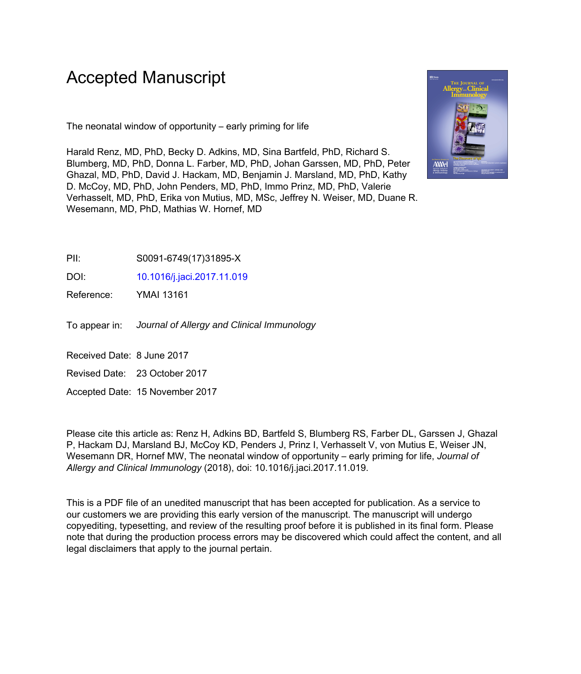# Accepted Manuscript

The neonatal window of opportunity – early priming for life

Harald Renz, MD, PhD, Becky D. Adkins, MD, Sina Bartfeld, PhD, Richard S. Blumberg, MD, PhD, Donna L. Farber, MD, PhD, Johan Garssen, MD, PhD, Peter Ghazal, MD, PhD, David J. Hackam, MD, Benjamin J. Marsland, MD, PhD, Kathy D. McCoy, MD, PhD, John Penders, MD, PhD, Immo Prinz, MD, PhD, Valerie Verhasselt, MD, PhD, Erika von Mutius, MD, MSc, Jeffrey N. Weiser, MD, Duane R. Wesemann, MD, PhD, Mathias W. Hornef, MD



PII: S0091-6749(17)31895-X

DOI: [10.1016/j.jaci.2017.11.019](https://doi.org/10.1016/j.jaci.2017.11.019)

Reference: YMAI 13161

To appear in: Journal of Allergy and Clinical Immunology

Received Date: 8 June 2017

Revised Date: 23 October 2017

Accepted Date: 15 November 2017

Please cite this article as: Renz H, Adkins BD, Bartfeld S, Blumberg RS, Farber DL, Garssen J, Ghazal P, Hackam DJ, Marsland BJ, McCoy KD, Penders J, Prinz I, Verhasselt V, von Mutius E, Weiser JN, Wesemann DR, Hornef MW, The neonatal window of opportunity – early priming for life, *Journal of Allergy and Clinical Immunology* (2018), doi: 10.1016/j.jaci.2017.11.019.

This is a PDF file of an unedited manuscript that has been accepted for publication. As a service to our customers we are providing this early version of the manuscript. The manuscript will undergo copyediting, typesetting, and review of the resulting proof before it is published in its final form. Please note that during the production process errors may be discovered which could affect the content, and all legal disclaimers that apply to the journal pertain.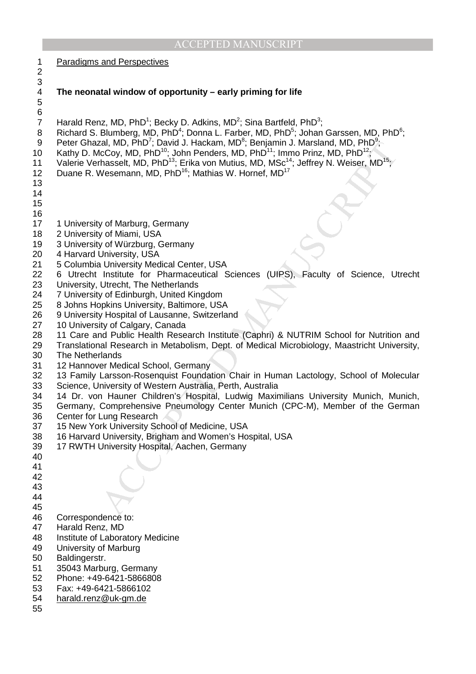| 1                                                         | <b>Paradigms and Perspectives</b>                                                                                                                                                                                                                                                                                                                                                                                                                                                                                                                                                                                                                                                 |
|-----------------------------------------------------------|-----------------------------------------------------------------------------------------------------------------------------------------------------------------------------------------------------------------------------------------------------------------------------------------------------------------------------------------------------------------------------------------------------------------------------------------------------------------------------------------------------------------------------------------------------------------------------------------------------------------------------------------------------------------------------------|
| $\overline{c}$<br>3                                       |                                                                                                                                                                                                                                                                                                                                                                                                                                                                                                                                                                                                                                                                                   |
| $\overline{\mathbf{4}}$<br>$\mathbf 5$                    | The neonatal window of opportunity - early priming for life                                                                                                                                                                                                                                                                                                                                                                                                                                                                                                                                                                                                                       |
| 6<br>$\overline{7}$<br>8<br>$9\,$<br>10<br>11<br>12<br>13 | Harald Renz, MD, $PhD^1$ ; Becky D. Adkins, MD <sup>2</sup> ; Sina Bartfeld, $PhD^3$ ;<br>Richard S. Blumberg, MD, PhD <sup>4</sup> ; Donna L. Farber, MD, PhD <sup>5</sup> ; Johan Garssen, MD, PhD <sup>6</sup> ;<br>Peter Ghazal, MD, PhD <sup>7</sup> ; David J. Hackam, MD <sup>8</sup> ; Benjamin J. Marsland, MD, PhD <sup>9</sup> ;<br>Kathy D. McCoy, MD, PhD <sup>10</sup> ; John Penders, MD, PhD <sup>11</sup> ; Immo Prinz, MD, PhD <sup>12</sup> ;<br>Valerie Verhasselt, MD, PhD <sup>13</sup> ; Erika von Mutius, MD, MSc <sup>14</sup> ; Jeffrey N. Weiser, MD <sup>15</sup> ;<br>Duane R. Wesemann, MD, PhD <sup>16</sup> ; Mathias W. Hornef, MD <sup>17</sup> |
| 14                                                        |                                                                                                                                                                                                                                                                                                                                                                                                                                                                                                                                                                                                                                                                                   |
| 15<br>16                                                  |                                                                                                                                                                                                                                                                                                                                                                                                                                                                                                                                                                                                                                                                                   |
| 17<br>18                                                  | 1 University of Marburg, Germany<br>2 University of Miami, USA                                                                                                                                                                                                                                                                                                                                                                                                                                                                                                                                                                                                                    |
| 19<br>20                                                  | 3 University of Würzburg, Germany<br>4 Harvard University, USA                                                                                                                                                                                                                                                                                                                                                                                                                                                                                                                                                                                                                    |
| 21                                                        | 5 Columbia University Medical Center, USA                                                                                                                                                                                                                                                                                                                                                                                                                                                                                                                                                                                                                                         |
| 22<br>23                                                  | 6 Utrecht Institute for Pharmaceutical Sciences (UIPS), Faculty of Science, Utrecht<br>University, Utrecht, The Netherlands                                                                                                                                                                                                                                                                                                                                                                                                                                                                                                                                                       |
| 24                                                        | 7 University of Edinburgh, United Kingdom                                                                                                                                                                                                                                                                                                                                                                                                                                                                                                                                                                                                                                         |
| 25<br>26                                                  | 8 Johns Hopkins University, Baltimore, USA<br>9 University Hospital of Lausanne, Switzerland                                                                                                                                                                                                                                                                                                                                                                                                                                                                                                                                                                                      |
| 27                                                        | 10 University of Calgary, Canada                                                                                                                                                                                                                                                                                                                                                                                                                                                                                                                                                                                                                                                  |
| 28<br>29                                                  | 11 Care and Public Health Research Institute (Caphri) & NUTRIM School for Nutrition and<br>Translational Research in Metabolism, Dept. of Medical Microbiology, Maastricht University,                                                                                                                                                                                                                                                                                                                                                                                                                                                                                            |
| 30                                                        | The Netherlands                                                                                                                                                                                                                                                                                                                                                                                                                                                                                                                                                                                                                                                                   |
| 31<br>32                                                  | 12 Hannover Medical School, Germany<br>13 Family Larsson-Rosenquist Foundation Chair in Human Lactology, School of Molecular                                                                                                                                                                                                                                                                                                                                                                                                                                                                                                                                                      |
| 33                                                        | Science, University of Western Australia, Perth, Australia                                                                                                                                                                                                                                                                                                                                                                                                                                                                                                                                                                                                                        |
| 34<br>35                                                  | 14 Dr. von Hauner Children's Hospital, Ludwig Maximilians University Munich, Munich,<br>Germany, Comprehensive Pneumology Center Munich (CPC-M), Member of the German                                                                                                                                                                                                                                                                                                                                                                                                                                                                                                             |
| 36                                                        | Center for Lung Research                                                                                                                                                                                                                                                                                                                                                                                                                                                                                                                                                                                                                                                          |
| 37<br>38                                                  | 15 New York University School of Medicine, USA<br>16 Harvard University, Brigham and Women's Hospital, USA                                                                                                                                                                                                                                                                                                                                                                                                                                                                                                                                                                        |
| 39                                                        | 17 RWTH University Hospital, Aachen, Germany                                                                                                                                                                                                                                                                                                                                                                                                                                                                                                                                                                                                                                      |
| 40<br>41                                                  |                                                                                                                                                                                                                                                                                                                                                                                                                                                                                                                                                                                                                                                                                   |
| 42                                                        |                                                                                                                                                                                                                                                                                                                                                                                                                                                                                                                                                                                                                                                                                   |
| 43<br>44                                                  |                                                                                                                                                                                                                                                                                                                                                                                                                                                                                                                                                                                                                                                                                   |
| 45                                                        |                                                                                                                                                                                                                                                                                                                                                                                                                                                                                                                                                                                                                                                                                   |
| 46                                                        | Correspondence to:                                                                                                                                                                                                                                                                                                                                                                                                                                                                                                                                                                                                                                                                |
| 47<br>48                                                  | Harald Renz, MD<br>Institute of Laboratory Medicine                                                                                                                                                                                                                                                                                                                                                                                                                                                                                                                                                                                                                               |
| 49                                                        | University of Marburg                                                                                                                                                                                                                                                                                                                                                                                                                                                                                                                                                                                                                                                             |
| 50<br>51                                                  | Baldingerstr.<br>35043 Marburg, Germany                                                                                                                                                                                                                                                                                                                                                                                                                                                                                                                                                                                                                                           |
| 52                                                        | Phone: +49-6421-5866808                                                                                                                                                                                                                                                                                                                                                                                                                                                                                                                                                                                                                                                           |
| 53                                                        | Fax: +49-6421-5866102                                                                                                                                                                                                                                                                                                                                                                                                                                                                                                                                                                                                                                                             |
| 54<br>55                                                  | harald.renz@uk-gm.de                                                                                                                                                                                                                                                                                                                                                                                                                                                                                                                                                                                                                                                              |
|                                                           |                                                                                                                                                                                                                                                                                                                                                                                                                                                                                                                                                                                                                                                                                   |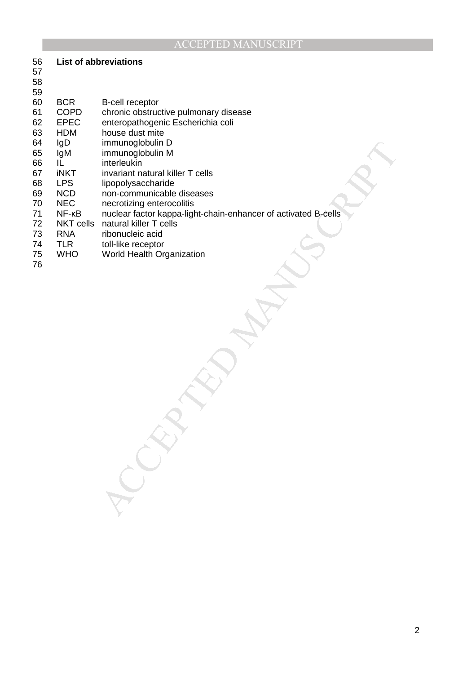#### **List of abbreviations** 57

| 58<br>59<br>60<br>61<br>62<br>63<br>64<br>65<br>66<br>67<br>68<br>69<br>70<br>71<br>72<br>73<br>74<br>75<br>76 | <b>BCR</b><br><b>COPD</b><br><b>EPEC</b><br><b>HDM</b><br>IgD<br>IgM<br>IL<br><b>iNKT</b><br><b>LPS</b><br><b>NCD</b><br><b>NEC</b><br>$NF-KB$<br><b>NKT cells</b><br><b>RNA</b><br><b>TLR</b><br><b>WHO</b> | <b>B-cell receptor</b><br>chronic obstructive pulmonary disease<br>enteropathogenic Escherichia coli<br>house dust mite<br>immunoglobulin D<br>immunoglobulin M<br>interleukin<br>invariant natural killer T cells<br>lipopolysaccharide<br>non-communicable diseases<br>necrotizing enterocolitis<br>nuclear factor kappa-light-chain-enhancer of activated B-cells<br>natural killer T cells<br>ribonucleic acid<br>toll-like receptor<br>World Health Organization |
|----------------------------------------------------------------------------------------------------------------|--------------------------------------------------------------------------------------------------------------------------------------------------------------------------------------------------------------|-----------------------------------------------------------------------------------------------------------------------------------------------------------------------------------------------------------------------------------------------------------------------------------------------------------------------------------------------------------------------------------------------------------------------------------------------------------------------|
|                                                                                                                |                                                                                                                                                                                                              |                                                                                                                                                                                                                                                                                                                                                                                                                                                                       |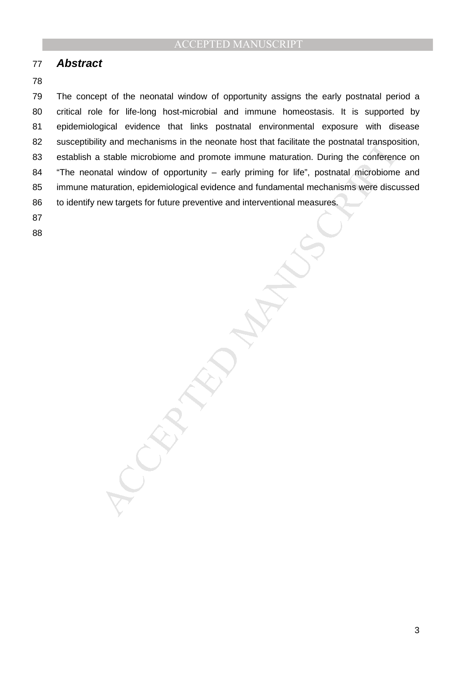### 77 **Abstract**

#### 78

ry and mechanisms in the neonate nost that facultate the positival transpose<br>stable microbiome and promote immune maturation. During the conference and<br>taturation, epidemiological evidence and fundamental mechanisms were d 79 The concept of the neonatal window of opportunity assigns the early postnatal period a 80 critical role for life-long host-microbial and immune homeostasis. It is supported by 81 epidemiological evidence that links postnatal environmental exposure with disease 82 susceptibility and mechanisms in the neonate host that facilitate the postnatal transposition, 83 establish a stable microbiome and promote immune maturation. During the conference on 84 "The neonatal window of opportunity – early priming for life", postnatal microbiome and 85 immune maturation, epidemiological evidence and fundamental mechanisms were discussed 86 to identify new targets for future preventive and interventional measures.

87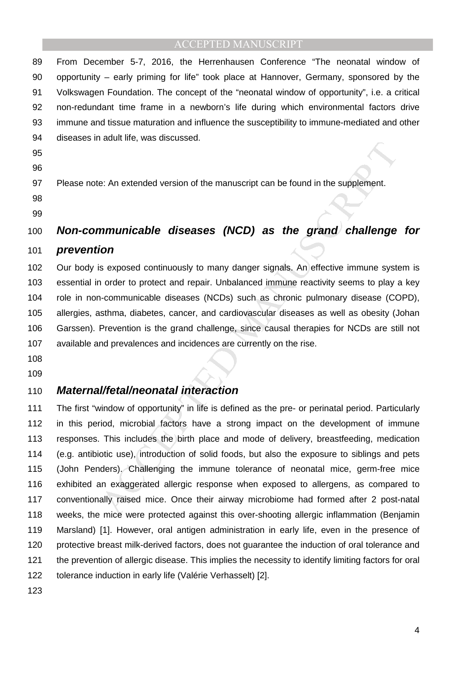89 From December 5-7, 2016, the Herrenhausen Conference "The neonatal window of 90 opportunity – early priming for life" took place at Hannover, Germany, sponsored by the 91 Volkswagen Foundation. The concept of the "neonatal window of opportunity", i.e. a critical 92 non-redundant time frame in a newborn's life during which environmental factors drive 93 immune and tissue maturation and influence the susceptibility to immune-mediated and other 94 diseases in adult life, was discussed.

- 95
- 96

97 Please note: An extended version of the manuscript can be found in the supplement.

98

#### 99

## 100 **Non-communicable diseases (NCD) as the grand challenge for**

#### 101 **prevention**

102 Our body is exposed continuously to many danger signals. An effective immune system is 103 essential in order to protect and repair. Unbalanced immune reactivity seems to play a key 104 role in non-communicable diseases (NCDs) such as chronic pulmonary disease (COPD), 105 allergies, asthma, diabetes, cancer, and cardiovascular diseases as well as obesity (Johan 106 Garssen). Prevention is the grand challenge, since causal therapies for NCDs are still not 107 available and prevalences and incidences are currently on the rise.

108

109

#### 110 **Maternal/fetal/neonatal interaction**

es. An extended version of the manuscript can be found in the supplement.<br>
The estable diseases (NCD) as the grand challenge<br>
ion<br>
in order to protect and repair. Unbalanced immune reactivity seems to play<br>
in order to pro 111 The first "window of opportunity" in life is defined as the pre- or perinatal period. Particularly 112 in this period, microbial factors have a strong impact on the development of immune 113 responses. This includes the birth place and mode of delivery, breastfeeding, medication 114 (e.g. antibiotic use), introduction of solid foods, but also the exposure to siblings and pets 115 (John Penders). Challenging the immune tolerance of neonatal mice, germ-free mice 116 exhibited an exaggerated allergic response when exposed to allergens, as compared to 117 conventionally raised mice. Once their airway microbiome had formed after 2 post-natal 118 weeks, the mice were protected against this over-shooting allergic inflammation (Benjamin 119 Marsland) [1]. However, oral antigen administration in early life, even in the presence of 120 protective breast milk-derived factors, does not guarantee the induction of oral tolerance and 121 the prevention of allergic disease. This implies the necessity to identify limiting factors for oral 122 tolerance induction in early life (Valérie Verhasselt) [2].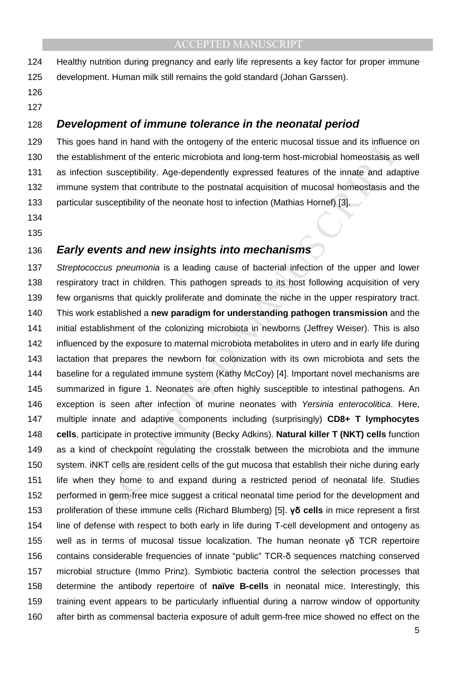124 Healthy nutrition during pregnancy and early life represents a key factor for proper immune 125 development. Human milk still remains the gold standard (Johan Garssen).

126 127

## 128 **Development of immune tolerance in the neonatal period**

129 This goes hand in hand with the ontogeny of the enteric mucosal tissue and its influence on 130 the establishment of the enteric microbiota and long-term host-microbial homeostasis as well 131 as infection susceptibility. Age-dependently expressed features of the innate and adaptive 132 immune system that contribute to the postnatal acquisition of mucosal homeostasis and the 133 particular susceptibility of the neonate host to infection (Mathias Hornef) [3].

134

### 135

### 136 **Early events and new insights into mechanisms**

mand in nand with the entergoenty of the entergo muccosal tissue and its influenent of the entergoenticolid and dong-term host-microbial homeostasis, and susceptibility. Age-dependently expressed features of the innate and 137 Streptococcus pneumonia is a leading cause of bacterial infection of the upper and lower 138 respiratory tract in children. This pathogen spreads to its host following acquisition of very 139 few organisms that quickly proliferate and dominate the niche in the upper respiratory tract. 140 This work established a **new paradigm for understanding pathogen transmission** and the 141 initial establishment of the colonizing microbiota in newborns (Jeffrey Weiser). This is also 142 influenced by the exposure to maternal microbiota metabolites in utero and in early life during 143 lactation that prepares the newborn for colonization with its own microbiota and sets the 144 baseline for a regulated immune system (Kathy McCoy) [4]. Important novel mechanisms are 145 summarized in figure 1. Neonates are often highly susceptible to intestinal pathogens. An 146 exception is seen after infection of murine neonates with Yersinia enterocolitica. Here, 147 multiple innate and adaptive components including (surprisingly) **CD8+ T lymphocytes**  148 **cells**, participate in protective immunity (Becky Adkins). **Natural killer T (NKT) cells** function 149 as a kind of checkpoint regulating the crosstalk between the microbiota and the immune 150 system. iNKT cells are resident cells of the gut mucosa that establish their niche during early 151 life when they home to and expand during a restricted period of neonatal life. Studies 152 performed in germ-free mice suggest a critical neonatal time period for the development and 153 proliferation of these immune cells (Richard Blumberg) [5]. **γδ cells** in mice represent a first 154 line of defense with respect to both early in life during T-cell development and ontogeny as 155 well as in terms of mucosal tissue localization. The human neonate γδ TCR repertoire 156 contains considerable frequencies of innate "public" TCR-δ sequences matching conserved 157 microbial structure (Immo Prinz). Symbiotic bacteria control the selection processes that 158 determine the antibody repertoire of **naïve B-cells** in neonatal mice. Interestingly, this 159 training event appears to be particularly influential during a narrow window of opportunity 160 after birth as commensal bacteria exposure of adult germ-free mice showed no effect on the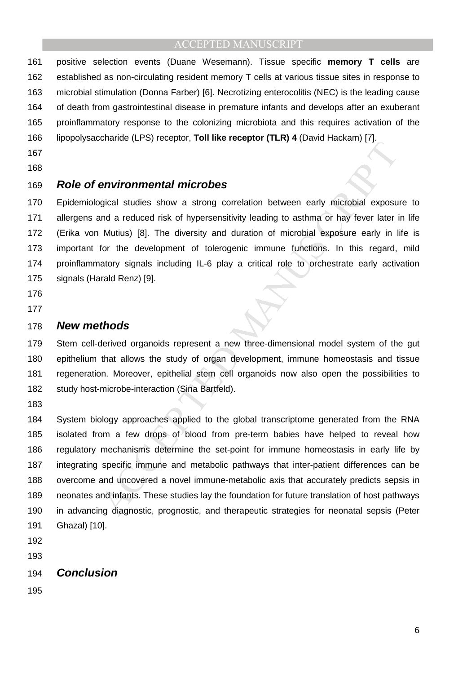161 positive selection events (Duane Wesemann). Tissue specific **memory T cells** are 162 established as non-circulating resident memory T cells at various tissue sites in response to 163 microbial stimulation (Donna Farber) [6]. Necrotizing enterocolitis (NEC) is the leading cause 164 of death from gastrointestinal disease in premature infants and develops after an exuberant 165 proinflammatory response to the colonizing microbiota and this requires activation of the 166 lipopolysaccharide (LPS) receptor, **Toll like receptor (TLR) 4** (David Hackam) [7].

- 167
- 168

## 169 **Role of environmental microbes**

170 Epidemiological studies show a strong correlation between early microbial exposure to 171 allergens and a reduced risk of hypersensitivity leading to asthma or hay fever later in life 172 (Erika von Mutius) [8]. The diversity and duration of microbial exposure early in life is 173 important for the development of tolerogenic immune functions. In this regard, mild 174 proinflammatory signals including IL-6 play a critical role to orchestrate early activation 175 signals (Harald Renz) [9].

- 176
- 177

#### 178 **New methods**

179 Stem cell-derived organoids represent a new three-dimensional model system of the gut 180 epithelium that allows the study of organ development, immune homeostasis and tissue 181 regeneration. Moreover, epithelial stem cell organoids now also open the possibilities to 182 study host-microbe-interaction (Sina Bartfeld).

183

**Environmental microbes**<br> **Environmental microbes**<br>
Sigical studies show a strong correlation between early microbial exposu<br>
and a reduced risk of hypersensitivity leading to asthma or hay fever later in<br>
Mutius) [8]. The 184 System biology approaches applied to the global transcriptome generated from the RNA 185 isolated from a few drops of blood from pre-term babies have helped to reveal how 186 regulatory mechanisms determine the set-point for immune homeostasis in early life by 187 integrating specific immune and metabolic pathways that inter-patient differences can be 188 overcome and uncovered a novel immune-metabolic axis that accurately predicts sepsis in 189 neonates and infants. These studies lay the foundation for future translation of host pathways 190 in advancing diagnostic, prognostic, and therapeutic strategies for neonatal sepsis (Peter 191 Ghazal) [10].

- 192
- 193

### 194 **Conclusion**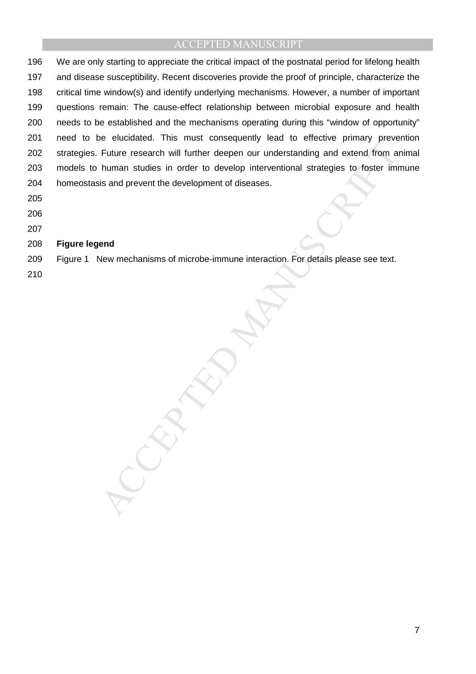Future research will further deepen our understanding and extend, from a<br>human studies in order to develop interventional strategies to foster im<br>human studies in order to develop interventional strategies to foster im<br>tis 196 We are only starting to appreciate the critical impact of the postnatal period for lifelong health 197 and disease susceptibility. Recent discoveries provide the proof of principle, characterize the 198 critical time window(s) and identify underlying mechanisms. However, a number of important 199 questions remain: The cause-effect relationship between microbial exposure and health 200 needs to be established and the mechanisms operating during this "window of opportunity" 201 need to be elucidated. This must consequently lead to effective primary prevention 202 strategies. Future research will further deepen our understanding and extend from animal 203 models to human studies in order to develop interventional strategies to foster immune 204 homeostasis and prevent the development of diseases.

- 205
- 206
- 207

#### 208 **Figure legend**

209 Figure 1 New mechanisms of microbe-immune interaction. For details please see text.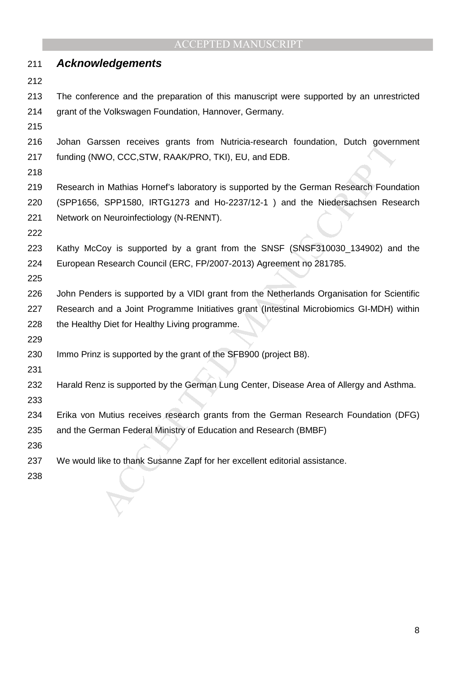| 211 | <b>Acknowledgements</b>                                                                    |
|-----|--------------------------------------------------------------------------------------------|
| 212 |                                                                                            |
| 213 | The conference and the preparation of this manuscript were supported by an unrestricted    |
| 214 | grant of the Volkswagen Foundation, Hannover, Germany.                                     |
| 215 |                                                                                            |
| 216 | Johan Garssen receives grants from Nutricia-research foundation, Dutch government          |
| 217 | funding (NWO, CCC, STW, RAAK/PRO, TKI), EU, and EDB.                                       |
| 218 |                                                                                            |
| 219 | Research in Mathias Hornef's laboratory is supported by the German Research Foundation     |
| 220 | (SPP1656, SPP1580, IRTG1273 and Ho-2237/12-1) and the Niedersachsen Research               |
| 221 | Network on Neuroinfectiology (N-RENNT).                                                    |
| 222 |                                                                                            |
| 223 | Kathy McCoy is supported by a grant from the SNSF (SNSF310030_134902) and the              |
| 224 | European Research Council (ERC, FP/2007-2013) Agreement no 281785.                         |
| 225 |                                                                                            |
| 226 | John Penders is supported by a VIDI grant from the Netherlands Organisation for Scientific |
| 227 | Research and a Joint Programme Initiatives grant (Intestinal Microbiomics GI-MDH) within   |
| 228 | the Healthy Diet for Healthy Living programme.                                             |
| 229 |                                                                                            |
| 230 | Immo Prinz is supported by the grant of the SFB900 (project B8).                           |
| 231 |                                                                                            |
| 232 | Harald Renz is supported by the German Lung Center, Disease Area of Allergy and Asthma.    |
| 233 |                                                                                            |
| 234 | Erika von Mutius receives research grants from the German Research Foundation (DFG)        |
| 235 | and the German Federal Ministry of Education and Research (BMBF)                           |
| 236 |                                                                                            |
| 237 | We would like to thank Susanne Zapf for her excellent editorial assistance.                |
| 238 |                                                                                            |
|     |                                                                                            |
|     |                                                                                            |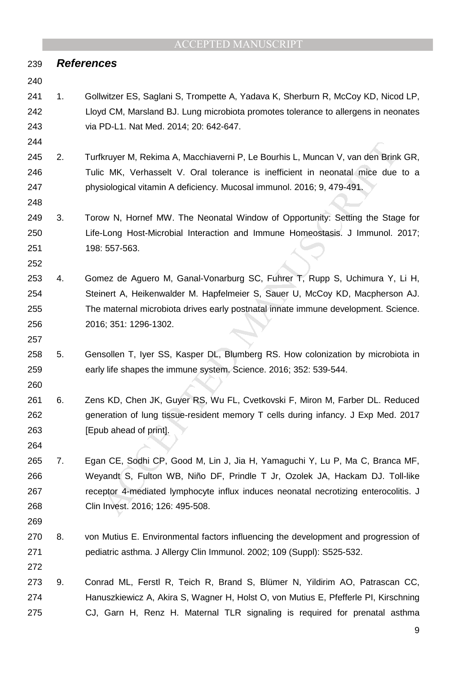#### 239 **References**

#### 240

- 241 1. Gollwitzer ES, Saglani S, Trompette A, Yadava K, Sherburn R, McCoy KD, Nicod LP, 242 Lloyd CM, Marsland BJ. Lung microbiota promotes tolerance to allergens in neonates 243 via PD-L1. Nat Med. 2014; 20: 642-647.
- 244

248

252

- 245 2. Turfkruyer M, Rekima A, Macchiaverni P, Le Bourhis L, Muncan V, van den Brink GR, 246 Tulic MK, Verhasselt V. Oral tolerance is inefficient in neonatal mice due to a 247 physiological vitamin A deficiency. Mucosal immunol. 2016; 9, 479-491.
- 249 3. Torow N, Hornef MW. The Neonatal Window of Opportunity: Setting the Stage for 250 Life-Long Host-Microbial Interaction and Immune Homeostasis. J Immunol. 2017; 251 198: 557-563.
- fkruyer M, Rekima A, Macchiaverni P, Le Bourhis L, Muncan V, van den Brinic MK, Verhasselt V. Oral tolerance is inefficient in neonatal mice due siological vitamin A deficiency. Mucosal immunol. 2016; 9, 479-491, www. Ther 253 4. Gomez de Aguero M, Ganal-Vonarburg SC, Fuhrer T, Rupp S, Uchimura Y, Li H, 254 Steinert A, Heikenwalder M. Hapfelmeier S, Sauer U, McCoy KD, Macpherson AJ. 255 The maternal microbiota drives early postnatal innate immune development. Science. 256 2016; 351: 1296-1302.
- 258 5. Gensollen T, Iyer SS, Kasper DL, Blumberg RS. How colonization by microbiota in 259 early life shapes the immune system. Science. 2016; 352: 539-544.
- 260

264

- 261 6. Zens KD, Chen JK, Guyer RS, Wu FL, Cvetkovski F, Miron M, Farber DL. Reduced 262 generation of lung tissue-resident memory T cells during infancy. J Exp Med. 2017 263 [Epub ahead of print].
- 265 7. Egan CE, Sodhi CP, Good M, Lin J, Jia H, Yamaguchi Y, Lu P, Ma C, Branca MF, 266 Weyandt S, Fulton WB, Niño DF, Prindle T Jr, Ozolek JA, Hackam DJ. Toll-like 267 receptor 4-mediated lymphocyte influx induces neonatal necrotizing enterocolitis. J 268 Clin Invest. 2016; 126: 495-508.
- 269
- 270 8. von Mutius E. Environmental factors influencing the development and progression of 271 pediatric asthma. J Allergy Clin Immunol. 2002; 109 (Suppl): S525-532.
- 272
- 273 9. Conrad ML, Ferstl R, Teich R, Brand S, Blümer N, Yildirim AO, Patrascan CC, 274 Hanuszkiewicz A, Akira S, Wagner H, Holst O, von Mutius E, Pfefferle PI, Kirschning 275 CJ, Garn H, Renz H. Maternal TLR signaling is required for prenatal asthma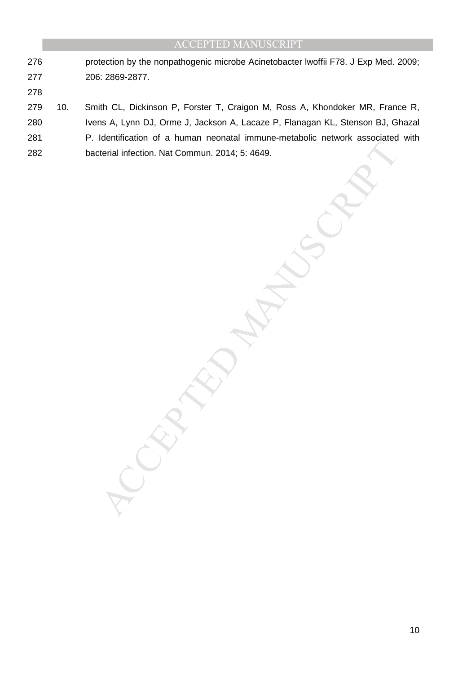- 276 protection by the nonpathogenic microbe Acinetobacter lwoffii F78. J Exp Med. 2009; 277 206: 2869-2877.
- 278

279 10. Smith CL, Dickinson P, Forster T, Craigon M, Ross A, Khondoker MR, France R,

- 280 Ivens A, Lynn DJ, Orme J, Jackson A, Lacaze P, Flanagan KL, Stenson BJ, Ghazal
- Manuscript Accepter 2014; 5: 4649. 281 P. Identification of a human neonatal immune-metabolic network associated with
- 282 bacterial infection. Nat Commun. 2014; 5: 4649.